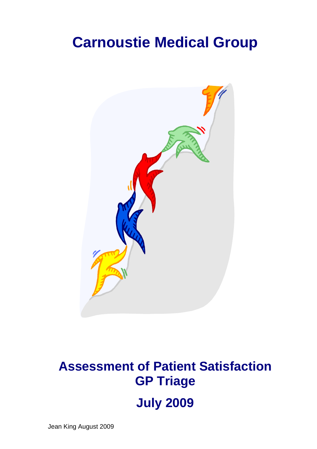# **Carnoustie Medical Group**



# **Assessment of Patient Satisfaction GP Triage July 2009**

Jean King August 2009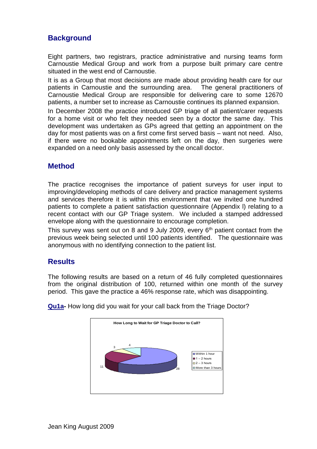## **Background**

Eight partners, two registrars, practice administrative and nursing teams form Carnoustie Medical Group and work from a purpose built primary care centre situated in the west end of Carnoustie.

It is as a Group that most decisions are made about providing health care for our patients in Carnoustie and the surrounding area. The general practitioners of Carnoustie Medical Group are responsible for delivering care to some 12670 patients, a number set to increase as Carnoustie continues its planned expansion.

In December 2008 the practice introduced GP triage of all patient/carer requests for a home visit or who felt they needed seen by a doctor the same day. This development was undertaken as GPs agreed that getting an appointment on the day for most patients was on a first come first served basis – want not need. Also, if there were no bookable appointments left on the day, then surgeries were expanded on a need only basis assessed by the oncall doctor.

# **Method**

The practice recognises the importance of patient surveys for user input to improving/developing methods of care delivery and practice management systems and services therefore it is within this environment that we invited one hundred patients to complete a patient satisfaction questionnaire (Appendix l) relating to a recent contact with our GP Triage system. We included a stamped addressed envelope along with the questionnaire to encourage completion.

This survey was sent out on 8 and 9 July 2009, every  $6<sup>th</sup>$  patient contact from the previous week being selected until 100 patients identified. The questionnaire was anonymous with no identifying connection to the patient list.

## **Results**

The following results are based on a return of 46 fully completed questionnaires from the original distribution of 100, returned within one month of the survey period. This gave the practice a 46% response rate, which was disappointing.



**Qu1a-** How long did you wait for your call back from the Triage Doctor?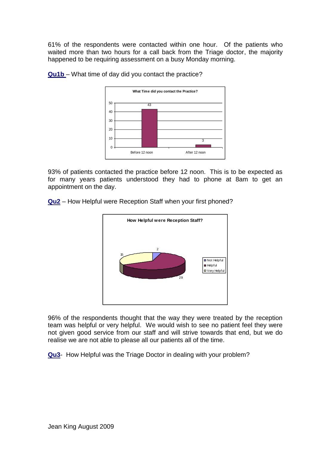61% of the respondents were contacted within one hour. Of the patients who waited more than two hours for a call back from the Triage doctor, the majority happened to be requiring assessment on a busy Monday morning.



**Qu1b** – What time of day did you contact the practice?

93% of patients contacted the practice before 12 noon. This is to be expected as for many years patients understood they had to phone at 8am to get an appointment on the day.

**Qu2** – How Helpful were Reception Staff when your first phoned?



96% of the respondents thought that the way they were treated by the reception team was helpful or very helpful. We would wish to see no patient feel they were not given good service from our staff and will strive towards that end, but we do realise we are not able to please all our patients all of the time.

**Qu3**- How Helpful was the Triage Doctor in dealing with your problem?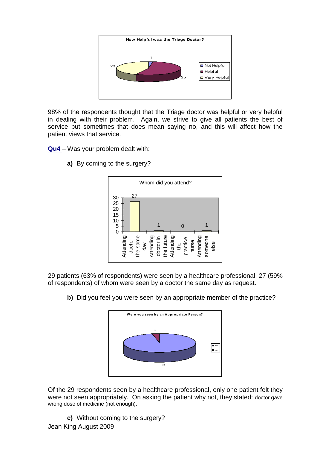

98% of the respondents thought that the Triage doctor was helpful or very helpful in dealing with their problem. Again, we strive to give all patients the best of service but sometimes that does mean saying no, and this will affect how the patient views that service.

**Qu4** – Was your problem dealt with:

**a)** By coming to the surgery?



29 patients (63% of respondents) were seen by a healthcare professional, 27 (59% of respondents) of whom were seen by a doctor the same day as request.

**b)** Did you feel you were seen by an appropriate member of the practice?



Of the 29 respondents seen by a healthcare professional, only one patient felt they were not seen appropriately. On asking the patient why not, they stated: doctor gave wrong dose of medicine (not enough).

Jean King August 2009 **c)** Without coming to the surgery?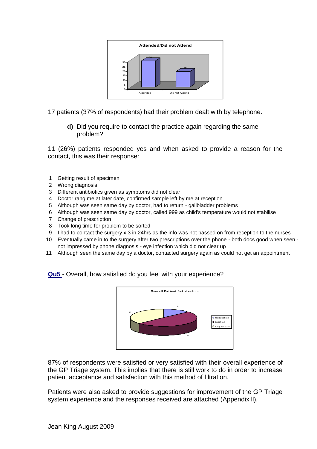

17 patients (37% of respondents) had their problem dealt with by telephone.

**d)** Did you require to contact the practice again regarding the same problem?

11 (26%) patients responded yes and when asked to provide a reason for the contact, this was their response:

- 1 Getting result of specimen
- 2 Wrong diagnosis
- 3 Different antibiotics given as symptoms did not clear
- 4 Doctor rang me at later date, confirmed sample left by me at reception
- 5 Although was seen same day by doctor, had to return gallbladder problems
- 6 Although was seen same day by doctor, called 999 as child's temperature would not stabilise
- 7 Change of prescription
- 8 Took long time for problem to be sorted
- 9 I had to contact the surgery x 3 in 24hrs as the info was not passed on from reception to the nurses
- 10 Eventually came in to the surgery after two prescriptions over the phone both docs good when seen not impressed by phone diagnosis - eye infection which did not clear up
- 11 Although seen the same day by a doctor, contacted surgery again as could not get an appointment

## **Qu5** - Overall, how satisfied do you feel with your experience?



87% of respondents were satisfied or very satisfied with their overall experience of the GP Triage system. This implies that there is still work to do in order to increase patient acceptance and satisfaction with this method of filtration.

Patients were also asked to provide suggestions for improvement of the GP Triage system experience and the responses received are attached (Appendix ll).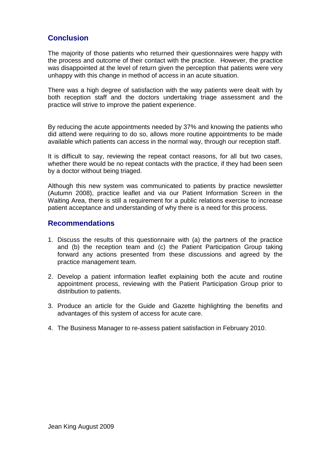## **Conclusion**

The majority of those patients who returned their questionnaires were happy with the process and outcome of their contact with the practice. However, the practice was disappointed at the level of return given the perception that patients were very unhappy with this change in method of access in an acute situation.

There was a high degree of satisfaction with the way patients were dealt with by both reception staff and the doctors undertaking triage assessment and the practice will strive to improve the patient experience.

By reducing the acute appointments needed by 37% and knowing the patients who did attend were requiring to do so, allows more routine appointments to be made available which patients can access in the normal way, through our reception staff.

It is difficult to say, reviewing the repeat contact reasons, for all but two cases, whether there would be no repeat contacts with the practice, if they had been seen by a doctor without being triaged.

Although this new system was communicated to patients by practice newsletter (Autumn 2008), practice leaflet and via our Patient Information Screen in the Waiting Area, there is still a requirement for a public relations exercise to increase patient acceptance and understanding of why there is a need for this process.

## **Recommendations**

- 1. Discuss the results of this questionnaire with (a) the partners of the practice and (b) the reception team and (c) the Patient Participation Group taking forward any actions presented from these discussions and agreed by the practice management team.
- 2. Develop a patient information leaflet explaining both the acute and routine appointment process, reviewing with the Patient Participation Group prior to distribution to patients.
- 3. Produce an article for the Guide and Gazette highlighting the benefits and advantages of this system of access for acute care.
- 4. The Business Manager to re-assess patient satisfaction in February 2010.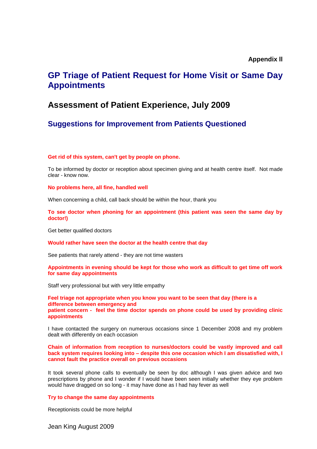### **Appendix ll**

# **GP Triage of Patient Request for Home Visit or Same Day Appointments**

## **Assessment of Patient Experience, July 2009**

## **Suggestions for Improvement from Patients Questioned**

#### **Get rid of this system, can't get by people on phone.**

To be informed by doctor or reception about specimen giving and at health centre itself. Not made clear - know now.

**No problems here, all fine, handled well**

When concerning a child, call back should be within the hour, thank you

#### **To see doctor when phoning for an appointment (this patient was seen the same day by doctor!)**

Get better qualified doctors

#### **Would rather have seen the doctor at the health centre that day**

See patients that rarely attend - they are not time wasters

#### **Appointments in evening should be kept for those who work as difficult to get time off work for same day appointments**

Staff very professional but with very little empathy

**Feel triage not appropriate when you know you want to be seen that day (there is a difference between emergency and patient concern - feel the time doctor spends on phone could be used by providing clinic appointments**

I have contacted the surgery on numerous occasions since 1 December 2008 and my problem dealt with differently on each occasion

**Chain of information from reception to nurses/doctors could be vastly improved and call back system requires looking into – despite this one occasion which I am dissatisfied with, I cannot fault the practice overall on previous occasions**

It took several phone calls to eventually be seen by doc although I was given advice and two prescriptions by phone and I wonder if I would have been seen initially whether they eye problem would have dragged on so long - it may have done as I had hay fever as well

#### **Try to change the same day appointments**

Receptionists could be more helpful

Jean King August 2009